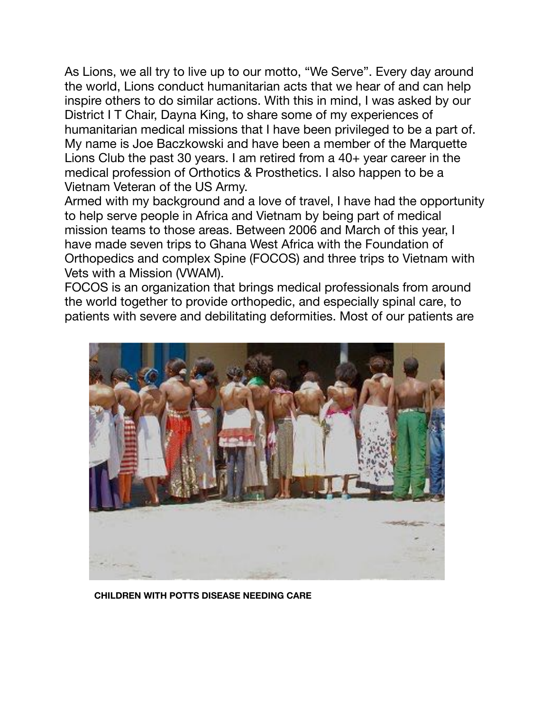As Lions, we all try to live up to our motto, "We Serve". Every day around the world, Lions conduct humanitarian acts that we hear of and can help inspire others to do similar actions. With this in mind, I was asked by our District I T Chair, Dayna King, to share some of my experiences of humanitarian medical missions that I have been privileged to be a part of. My name is Joe Baczkowski and have been a member of the Marquette Lions Club the past 30 years. I am retired from a 40+ year career in the medical profession of Orthotics & Prosthetics. I also happen to be a Vietnam Veteran of the US Army.

Armed with my background and a love of travel, I have had the opportunity to help serve people in Africa and Vietnam by being part of medical mission teams to those areas. Between 2006 and March of this year, I have made seven trips to Ghana West Africa with the Foundation of Orthopedics and complex Spine (FOCOS) and three trips to Vietnam with Vets with a Mission (VWAM).

FOCOS is an organization that brings medical professionals from around the world together to provide orthopedic, and especially spinal care, to patients with severe and debilitating deformities. Most of our patients are



**CHILDREN WITH POTTS DISEASE NEEDING CARE**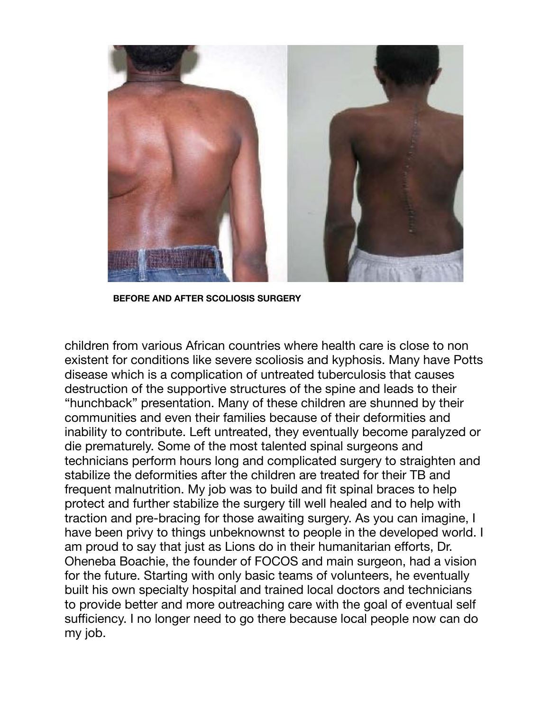

**BEFORE AND AFTER SCOLIOSIS SURGERY**

children from various African countries where health care is close to non existent for conditions like severe scoliosis and kyphosis. Many have Potts disease which is a complication of untreated tuberculosis that causes destruction of the supportive structures of the spine and leads to their "hunchback" presentation. Many of these children are shunned by their communities and even their families because of their deformities and inability to contribute. Left untreated, they eventually become paralyzed or die prematurely. Some of the most talented spinal surgeons and technicians perform hours long and complicated surgery to straighten and stabilize the deformities after the children are treated for their TB and frequent malnutrition. My job was to build and fit spinal braces to help protect and further stabilize the surgery till well healed and to help with traction and pre-bracing for those awaiting surgery. As you can imagine, I have been privy to things unbeknownst to people in the developed world. I am proud to say that just as Lions do in their humanitarian efforts, Dr. Oheneba Boachie, the founder of FOCOS and main surgeon, had a vision for the future. Starting with only basic teams of volunteers, he eventually built his own specialty hospital and trained local doctors and technicians to provide better and more outreaching care with the goal of eventual self sufficiency. I no longer need to go there because local people now can do my job.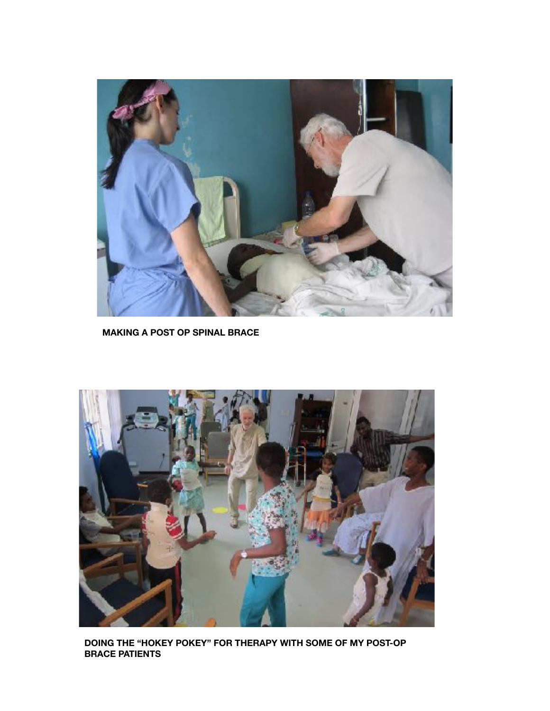

**MAKING A POST OP SPINAL BRACE**



**DOING THE "HOKEY POKEY" FOR THERAPY WITH SOME OF MY POST-OP BRACE PATIENTS**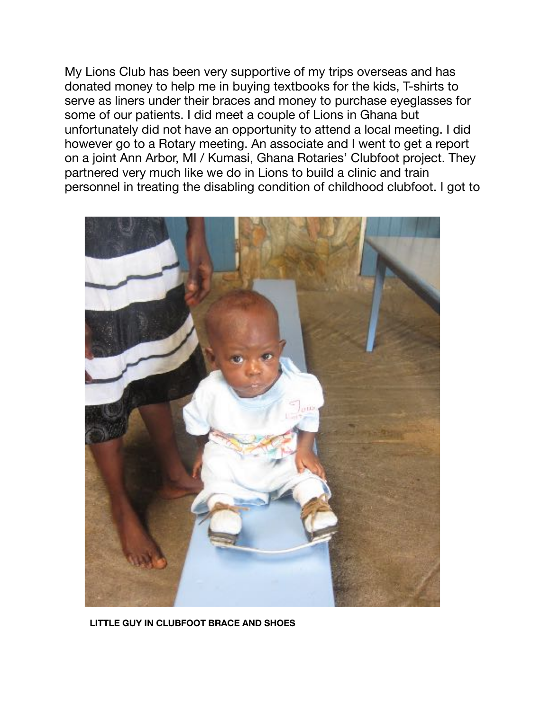My Lions Club has been very supportive of my trips overseas and has donated money to help me in buying textbooks for the kids, T-shirts to serve as liners under their braces and money to purchase eyeglasses for some of our patients. I did meet a couple of Lions in Ghana but unfortunately did not have an opportunity to attend a local meeting. I did however go to a Rotary meeting. An associate and I went to get a report on a joint Ann Arbor, MI / Kumasi, Ghana Rotaries' Clubfoot project. They partnered very much like we do in Lions to build a clinic and train personnel in treating the disabling condition of childhood clubfoot. I got to



**LITTLE GUY IN CLUBFOOT BRACE AND SHOES**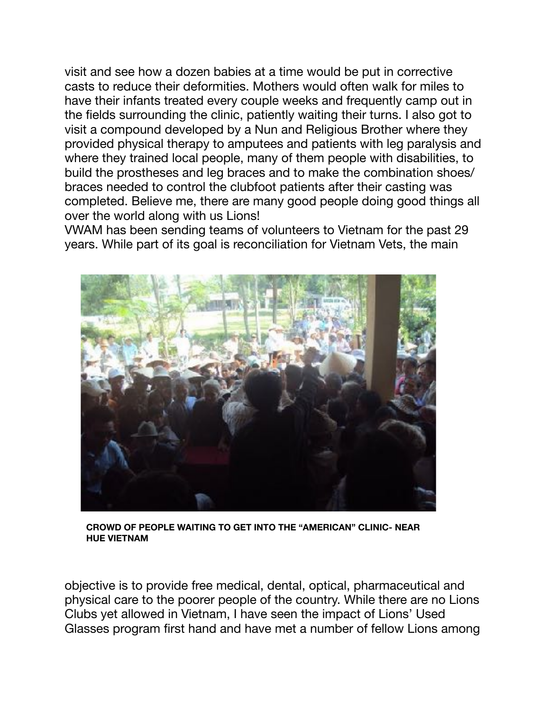visit and see how a dozen babies at a time would be put in corrective casts to reduce their deformities. Mothers would often walk for miles to have their infants treated every couple weeks and frequently camp out in the fields surrounding the clinic, patiently waiting their turns. I also got to visit a compound developed by a Nun and Religious Brother where they provided physical therapy to amputees and patients with leg paralysis and where they trained local people, many of them people with disabilities, to build the prostheses and leg braces and to make the combination shoes/ braces needed to control the clubfoot patients after their casting was completed. Believe me, there are many good people doing good things all over the world along with us Lions!

VWAM has been sending teams of volunteers to Vietnam for the past 29 years. While part of its goal is reconciliation for Vietnam Vets, the main



**CROWD OF PEOPLE WAITING TO GET INTO THE "AMERICAN" CLINIC- NEAR HUE VIETNAM**

objective is to provide free medical, dental, optical, pharmaceutical and physical care to the poorer people of the country. While there are no Lions Clubs yet allowed in Vietnam, I have seen the impact of Lions' Used Glasses program first hand and have met a number of fellow Lions among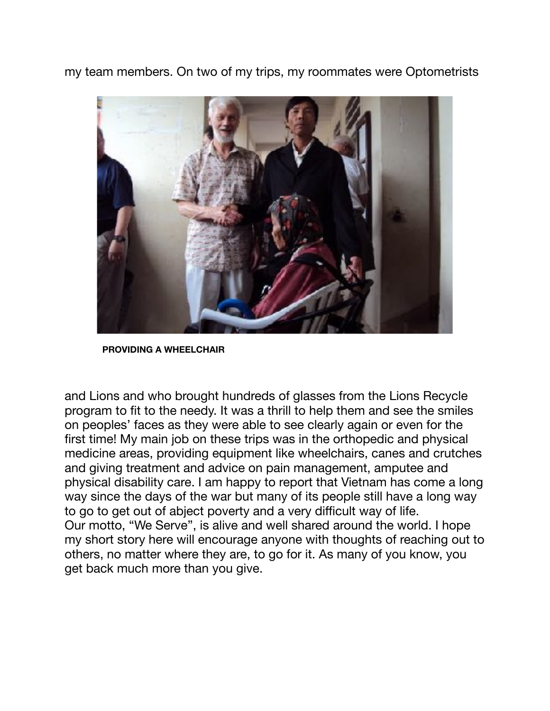my team members. On two of my trips, my roommates were Optometrists



**PROVIDING A WHEELCHAIR**

and Lions and who brought hundreds of glasses from the Lions Recycle program to fit to the needy. It was a thrill to help them and see the smiles on peoples' faces as they were able to see clearly again or even for the first time! My main job on these trips was in the orthopedic and physical medicine areas, providing equipment like wheelchairs, canes and crutches and giving treatment and advice on pain management, amputee and physical disability care. I am happy to report that Vietnam has come a long way since the days of the war but many of its people still have a long way to go to get out of abject poverty and a very difficult way of life. Our motto, "We Serve", is alive and well shared around the world. I hope my short story here will encourage anyone with thoughts of reaching out to others, no matter where they are, to go for it. As many of you know, you get back much more than you give.